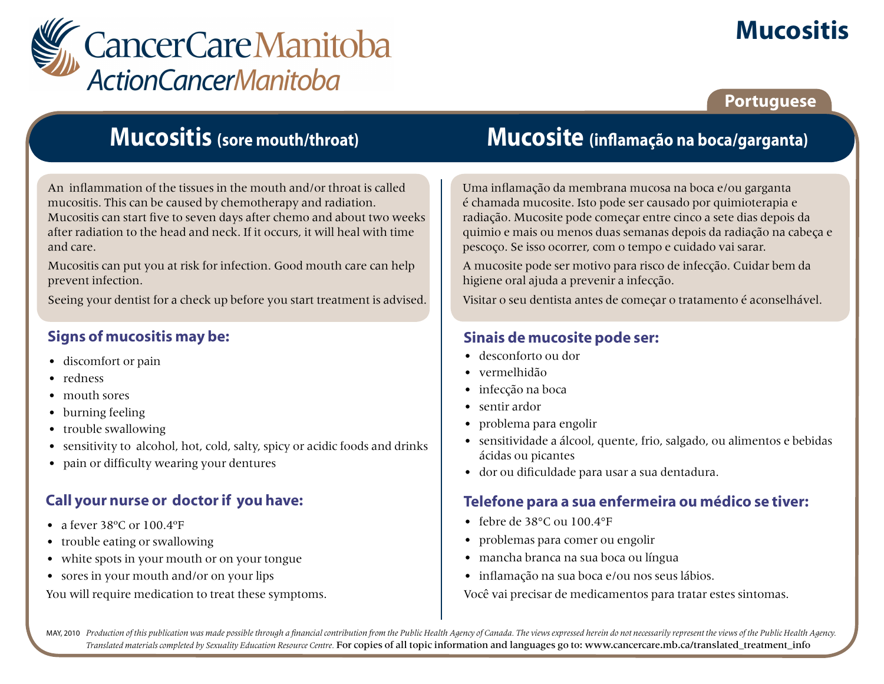

# **Mucositis**

## **Portuguese**

## **Mucositis (sore mouth/throat)**

An inflammation of the tissues in the mouth and/or throat is called mucositis. This can be caused by chemotherapy and radiation. Mucositis can start five to seven days after chemo and about two weeks after radiation to the head and neck. If it occurs, it will heal with time and care.

Mucositis can put you at risk for infection. Good mouth care can help prevent infection.

Seeing your dentist for a check up before you start treatment is advised.

## **Signs of mucositis may be:**

- discomfort or pain
- redness
- mouth sores
- burning feeling
- trouble swallowing
- sensitivity to alcohol, hot, cold, salty, spicy or acidic foods and drinks
- pain or difficulty wearing your dentures

## **Call your nurse or doctor if you have:**

- a fever 38°C or 100.4°F
- trouble eating or swallowing
- white spots in your mouth or on your tongue
- sores in your mouth and/or on your lips

You will require medication to treat these symptoms.

## **Mucosite (inflamação na boca/garganta)**

Uma inflamação da membrana mucosa na boca e/ou garganta é chamada mucosite. Isto pode ser causado por quimioterapia e radiação. Mucosite pode começar entre cinco a sete dias depois da quimio e mais ou menos duas semanas depois da radiação na cabeça e pescoço. Se isso ocorrer, com o tempo e cuidado vai sarar.

A mucosite pode ser motivo para risco de infecção. Cuidar bem da higiene oral ajuda a prevenir a infecção.

Visitar o seu dentista antes de começar o tratamento é aconselhável.

## **Sinais de mucosite pode ser:**

- desconforto ou dor
- vermelhidão
- infecção na boca
- sentir ardor
- problema para engolir
- sensitividade a álcool, quente, frio, salgado, ou alimentos e bebidas ácidas ou picantes
- dor ou dificuldade para usar a sua dentadura.

## **Telefone para a sua enfermeira ou médico se tiver:**

- febre de 38°C ou 100.4°F
- problemas para comer ou engolir
- mancha branca na sua boca ou língua
- inflamação na sua boca e/ou nos seus lábios.

Você vai precisar de medicamentos para tratar estes sintomas.

MAY, 2010 Production of this publication was made possible through a financial contribution from the Public Health Agency of Canada. The views expressed herein do not necessarily represent the views of the Public Health Ag *Translated materials completed by Sexuality Education Resource Centre.* For copies of all topic information and languages go to: www.cancercare.mb.ca/translated\_treatment\_info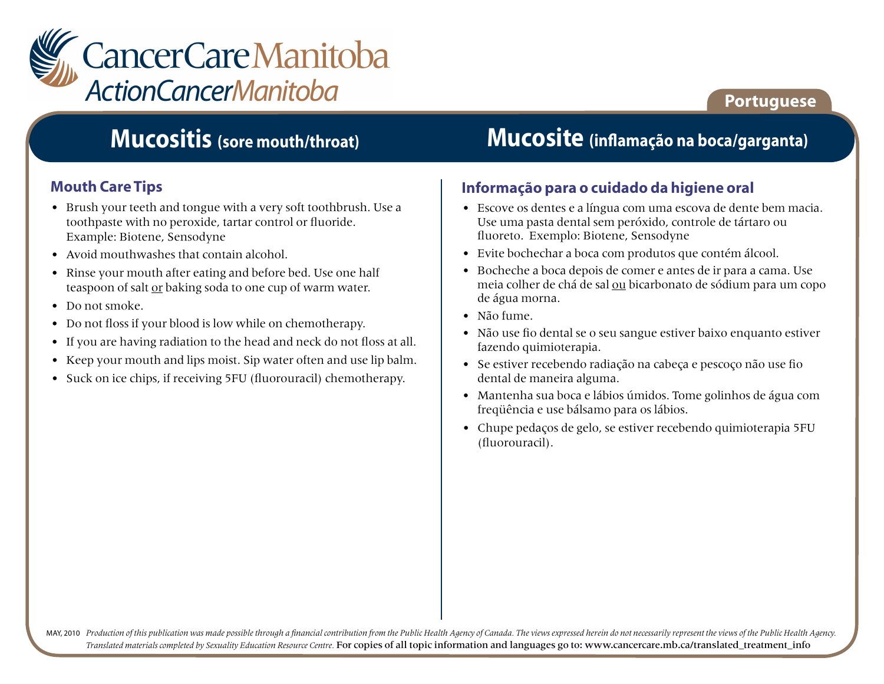

## **Portuguese**

## **Mucositis (sore mouth/throat)**

## **Mouth Care Tips**

- Brush your teeth and tongue with a very soft toothbrush. Use a toothpaste with no peroxide, tartar control or fluoride. Example: Biotene, Sensodyne
- Avoid mouthwashes that contain alcohol.
- Rinse your mouth after eating and before bed. Use one half teaspoon of salt or baking soda to one cup of warm water.
- Do not smoke.
- Do not floss if your blood is low while on chemotherapy.
- If you are having radiation to the head and neck do not floss at all.
- Keep your mouth and lips moist. Sip water often and use lip balm.
- Suck on ice chips, if receiving 5FU (fluorouracil) chemotherapy.

## **Mucosite (inflamação na boca/garganta)**

#### **Informação para o cuidado da higiene oral**

- Escove os dentes e a língua com uma escova de dente bem macia. Use uma pasta dental sem peróxido, controle de tártaro ou fluoreto. Exemplo: Biotene, Sensodyne
- Evite bochechar a boca com produtos que contém álcool.
- Bocheche a boca depois de comer e antes de ir para a cama. Use meia colher de chá de sal ou bicarbonato de sódium para um copo de água morna.
- Não fume.
- Não use fio dental se o seu sangue estiver baixo enquanto estiver fazendo quimioterapia.
- Se estiver recebendo radiação na cabeça e pescoço não use fio dental de maneira alguma.
- Mantenha sua boca e lábios úmidos. Tome golinhos de água com freqüência e use bálsamo para os lábios.
- Chupe pedaços de gelo, se estiver recebendo quimioterapia 5FU (fluorouracil).

MAY, 2010 Production of this publication was made possible through a financial contribution from the Public Health Agency of Canada. The views expressed herein do not necessarily represent the views of the Public Health Ag *Translated materials completed by Sexuality Education Resource Centre.* For copies of all topic information and languages go to: www.cancercare.mb.ca/translated\_treatment\_info